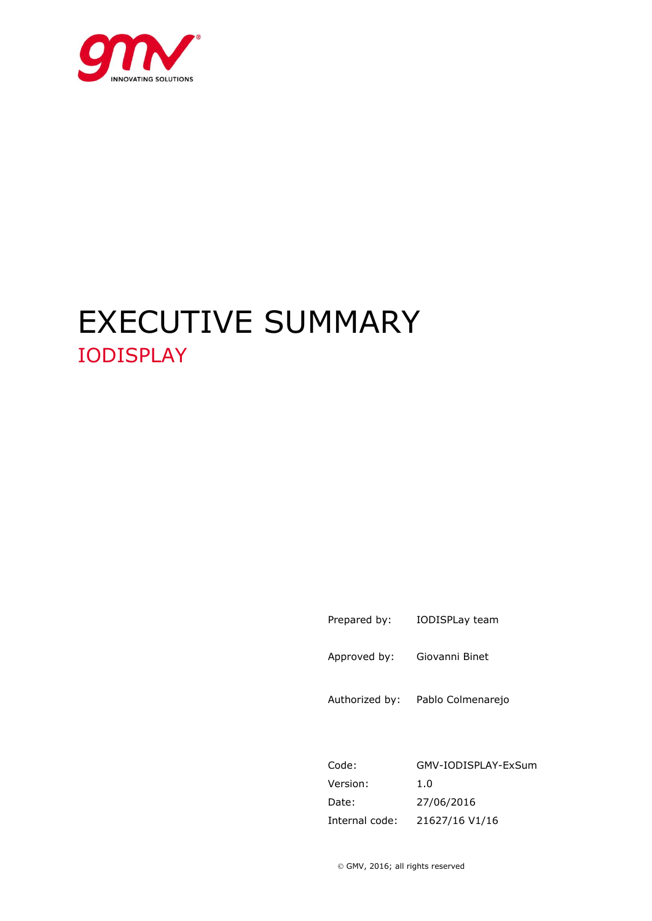

# EXECUTIVE SUMMARY IODISPLAY

Prepared by: IODISPLay team

Approved by: Giovanni Binet

Authorized by: Pablo Colmenarejo

Code: GMV-IODISPLAY-ExSum Version: 1.0 Date: 27/06/2016 Internal code: 21627/16 V1/16

GMV, 2016; all rights reserved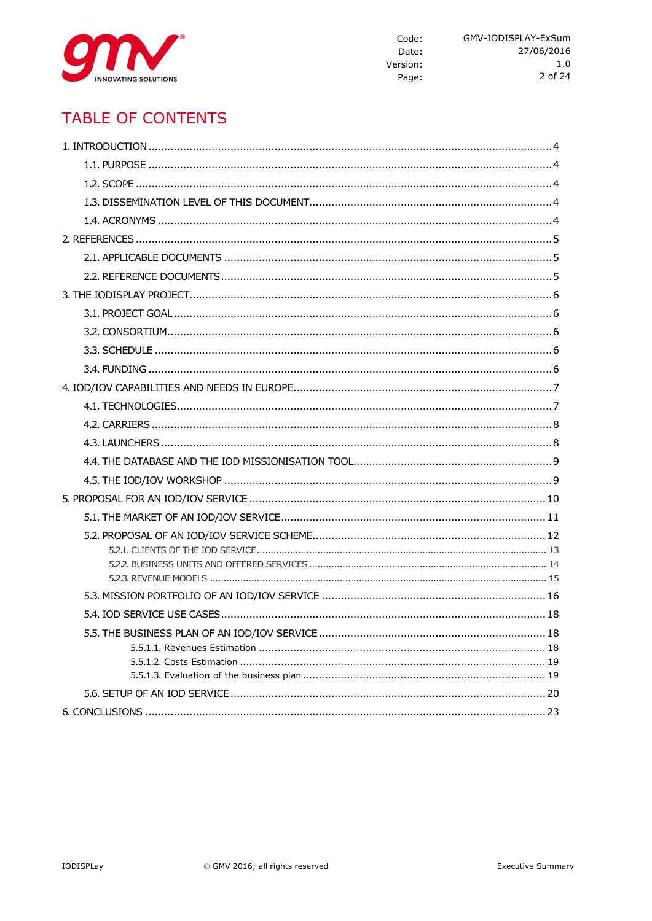

# **TABLE OF CONTENTS**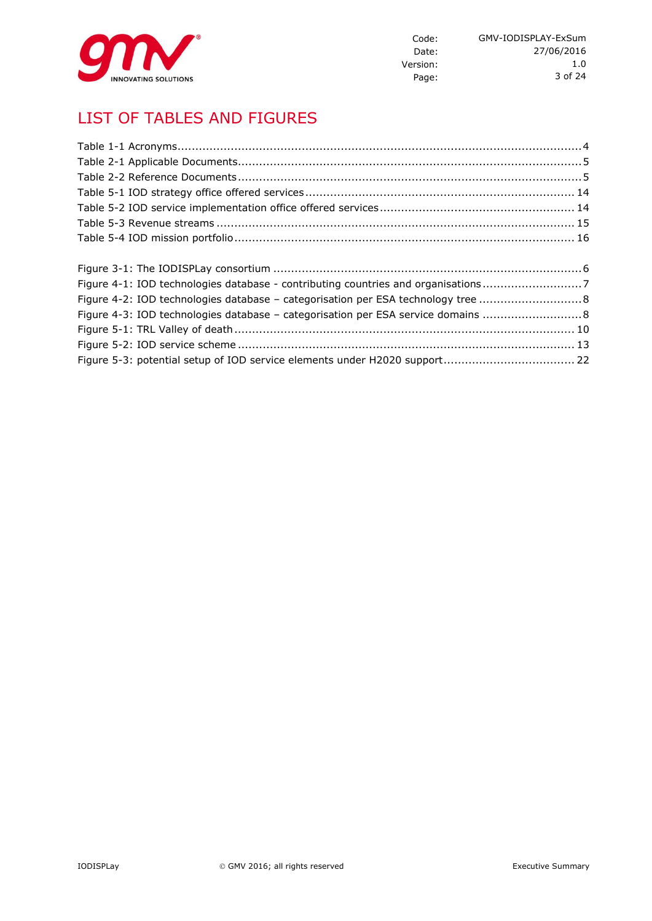

# LIST OF TABLES AND FIGURES

| Figure 4-1: IOD technologies database - contributing countries and organisations7 |  |
|-----------------------------------------------------------------------------------|--|
| Figure 4-2: IOD technologies database - categorisation per ESA technology tree 8  |  |
| Figure 4-3: IOD technologies database - categorisation per ESA service domains 8  |  |
|                                                                                   |  |
|                                                                                   |  |

Figure 5-3: potential setup of IOD service elements under H2020 support..................................... 22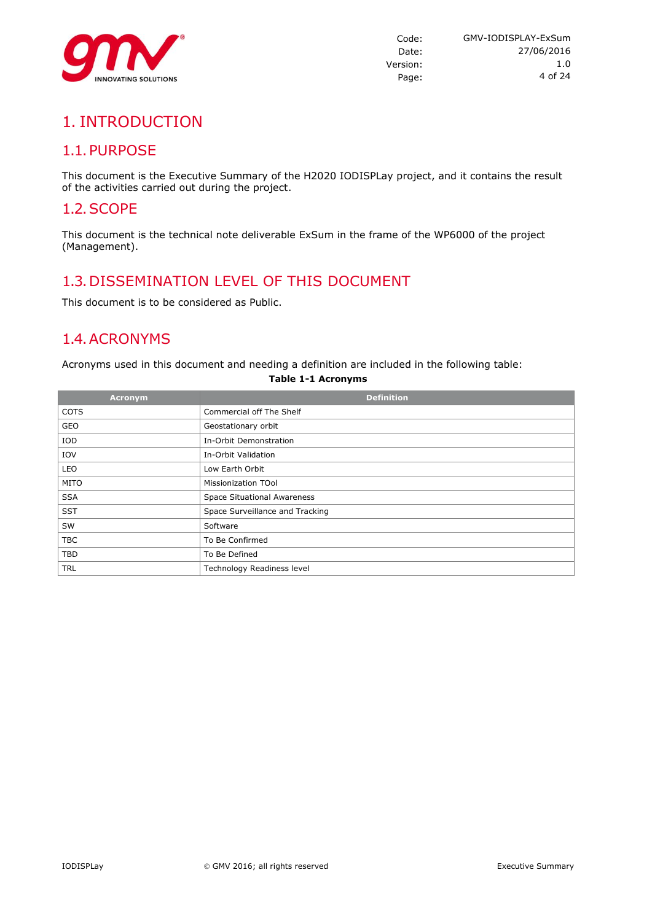

# 1. INTRODUCTION

# 1.1.PURPOSE

This document is the Executive Summary of the H2020 IODISPLay project, and it contains the result of the activities carried out during the project.

### 1.2.SCOPE

This document is the technical note deliverable ExSum in the frame of the WP6000 of the project (Management).

# 1.3.DISSEMINATION LEVEL OF THIS DOCUMENT

This document is to be considered as Public.

# 1.4.ACRONYMS

Acronyms used in this document and needing a definition are included in the following table:

| <b>Acronym</b> | <b>Definition</b>                  |
|----------------|------------------------------------|
| <b>COTS</b>    | Commercial off The Shelf           |
| GEO            | Geostationary orbit                |
| IOD            | In-Orbit Demonstration             |
| IOV            | In-Orbit Validation                |
| LEO            | Low Earth Orbit                    |
| <b>MITO</b>    | Missionization TOol                |
| <b>SSA</b>     | <b>Space Situational Awareness</b> |
| <b>SST</b>     | Space Surveillance and Tracking    |
| SW             | Software                           |
| <b>TBC</b>     | To Be Confirmed                    |
| <b>TBD</b>     | To Be Defined                      |
| <b>TRL</b>     | Technology Readiness level         |

#### **Table 1-1 Acronyms**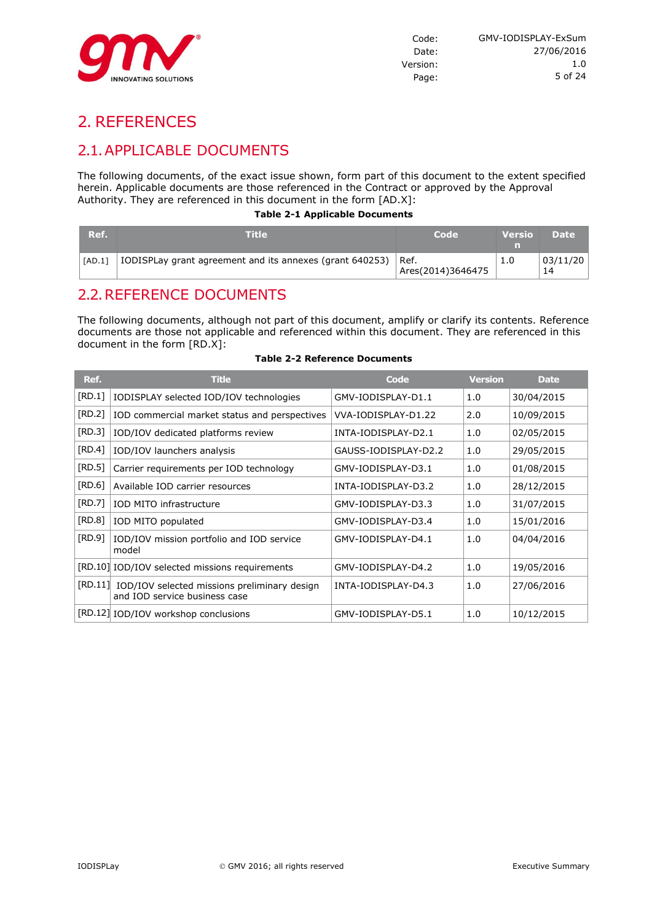

# 2. REFERENCES

# 2.1.APPLICABLE DOCUMENTS

The following documents, of the exact issue shown, form part of this document to the extent specified herein. Applicable documents are those referenced in the Contract or approved by the Approval Authority. They are referenced in this document in the form [AD.X]:

#### **Table 2-1 Applicable Documents**

| Ref.   | Title                                                            | Code              | <b>Versio</b> | <b>Date</b> |
|--------|------------------------------------------------------------------|-------------------|---------------|-------------|
| [AD.1] | IODISPLay grant agreement and its annexes (grant $640253$ ) Ref. | Ares(2014)3646475 |               | 03/11/20    |

### 2.2.REFERENCE DOCUMENTS

The following documents, although not part of this document, amplify or clarify its contents. Reference documents are those not applicable and referenced within this document. They are referenced in this document in the form [RD.X]:

| Ref.   | <b>Title</b>                                                                          | Code                 | <b>Version</b> | <b>Date</b> |
|--------|---------------------------------------------------------------------------------------|----------------------|----------------|-------------|
| [RD.1] | IODISPLAY selected IOD/IOV technologies                                               | GMV-IODISPLAY-D1.1   | 1.0            | 30/04/2015  |
| [RD.2] | IOD commercial market status and perspectives                                         | VVA-IODISPLAY-D1.22  | 2.0            | 10/09/2015  |
| [RD.3] | IOD/IOV dedicated platforms review                                                    | INTA-IODISPLAY-D2.1  | 1.0            | 02/05/2015  |
| [RD.4] | IOD/IOV launchers analysis                                                            | GAUSS-IODISPLAY-D2.2 | 1.0            | 29/05/2015  |
| [RD.5] | Carrier requirements per IOD technology                                               | GMV-IODISPLAY-D3.1   | 1.0            | 01/08/2015  |
| [RD.6] | Available IOD carrier resources                                                       | INTA-IODISPLAY-D3.2  | 1.0            | 28/12/2015  |
| [RD.7] | IOD MITO infrastructure                                                               | GMV-IODISPLAY-D3.3   | 1.0            | 31/07/2015  |
| [RD.8] | IOD MITO populated                                                                    | GMV-IODISPLAY-D3.4   | 1.0            | 15/01/2016  |
| [RD.9] | IOD/IOV mission portfolio and IOD service<br>model                                    | GMV-IODISPLAY-D4.1   | 1.0            | 04/04/2016  |
|        | [RD.10] IOD/IOV selected missions requirements                                        | GMV-IODISPLAY-D4.2   | 1.0            | 19/05/2016  |
|        | [RD.11] IOD/IOV selected missions preliminary design<br>and IOD service business case | INTA-IODISPLAY-D4.3  | 1.0            | 27/06/2016  |
|        | [RD.12] IOD/IOV workshop conclusions                                                  | GMV-IODISPLAY-D5.1   | 1.0            | 10/12/2015  |

#### **Table 2-2 Reference Documents**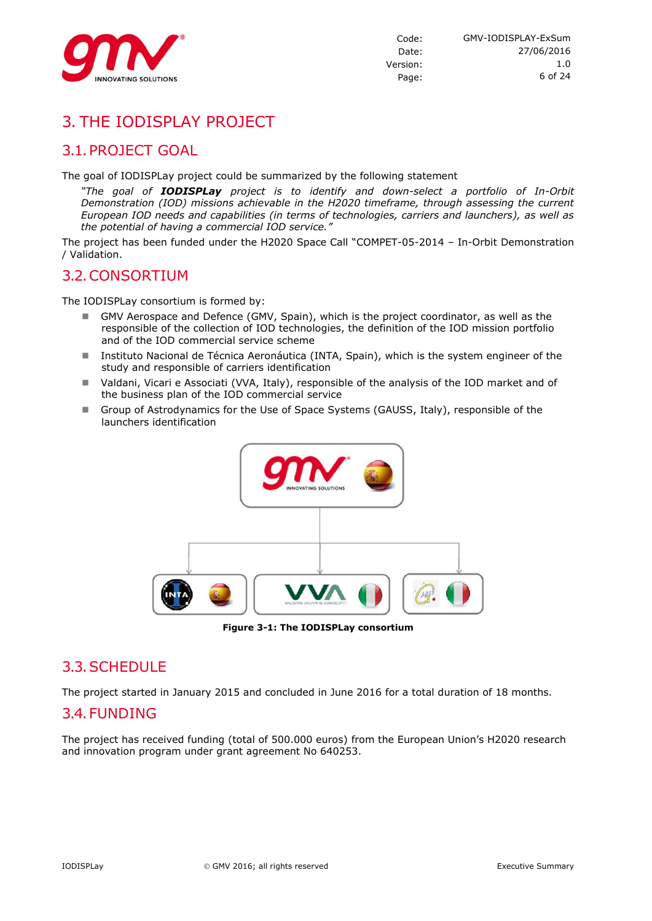

# 3. THE IODISPLAY PROJECT

# 3.1.PROJECT GOAL

The goal of IODISPLay project could be summarized by the following statement

*"The goal of IODISPLay project is to identify and down-select a portfolio of In-Orbit Demonstration (IOD) missions achievable in the H2020 timeframe, through assessing the current European IOD needs and capabilities (in terms of technologies, carriers and launchers), as well as the potential of having a commercial IOD service."*

The project has been funded under the H2020 Space Call "COMPET-05-2014 – In-Orbit Demonstration / Validation.

### 3.2.CONSORTIUM

The IODISPLay consortium is formed by:

- GMV Aerospace and Defence (GMV, Spain), which is the project coordinator, as well as the responsible of the collection of IOD technologies, the definition of the IOD mission portfolio and of the IOD commercial service scheme
- Instituto Nacional de Técnica Aeronáutica (INTA, Spain), which is the system engineer of the study and responsible of carriers identification
- Valdani, Vicari e Associati (VVA, Italy), responsible of the analysis of the IOD market and of the business plan of the IOD commercial service
- Group of Astrodynamics for the Use of Space Systems (GAUSS, Italy), responsible of the launchers identification



**Figure 3-1: The IODISPLay consortium**

### 3.3.SCHEDULE

The project started in January 2015 and concluded in June 2016 for a total duration of 18 months.

### 3.4.FUNDING

The project has received funding (total of 500.000 euros) from the European Union's H2020 research and innovation program under grant agreement No 640253.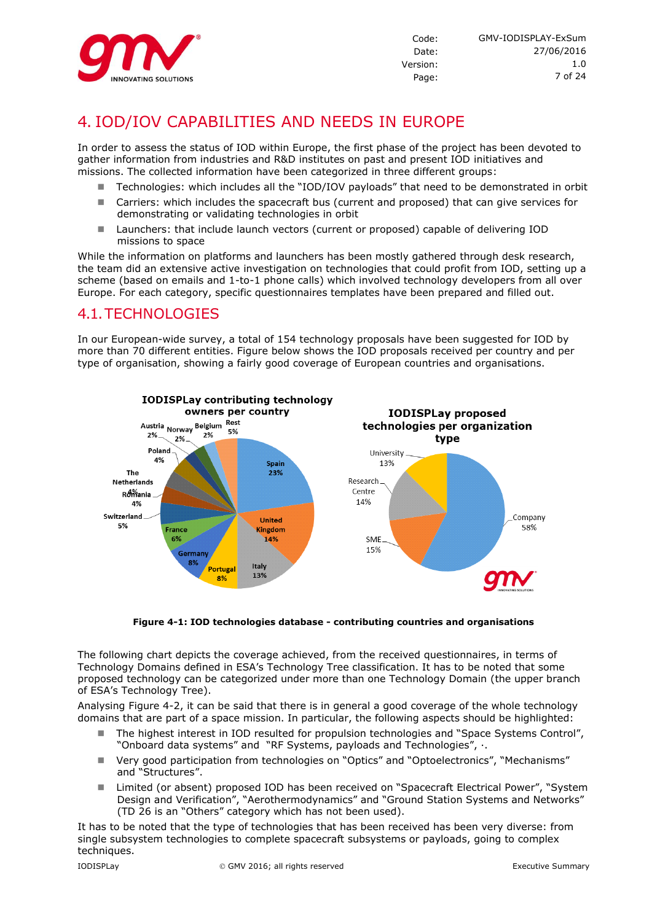

# 4. IOD/IOV CAPABILITIES AND NEEDS IN EUROPE

In order to assess the status of IOD within Europe, the first phase of the project has been devoted to gather information from industries and R&D institutes on past and present IOD initiatives and missions. The collected information have been categorized in three different groups:

- Technologies: which includes all the "IOD/IOV payloads" that need to be demonstrated in orbit
- Carriers: which includes the spacecraft bus (current and proposed) that can give services for demonstrating or validating technologies in orbit
- Launchers: that include launch vectors (current or proposed) capable of delivering IOD missions to space

While the information on platforms and launchers has been mostly gathered through desk research, the team did an extensive active investigation on technologies that could profit from IOD, setting up a scheme (based on emails and 1-to-1 phone calls) which involved technology developers from all over Europe. For each category, specific questionnaires templates have been prepared and filled out.

### 4.1.TECHNOLOGIES

In our European-wide survey, a total of 154 technology proposals have been suggested for IOD by more than 70 different entities. Figure below shows the IOD proposals received per country and per type of organisation, showing a fairly good coverage of European countries and organisations.



**Figure 4-1: IOD technologies database - contributing countries and organisations**

The following chart depicts the coverage achieved, from the received questionnaires, in terms of Technology Domains defined in ESA's Technology Tree classification. It has to be noted that some proposed technology can be categorized under more than one Technology Domain (the upper branch of ESA's Technology Tree).

Analysing [Figure 4-2,](#page-7-0) it can be said that there is in general a good coverage of the whole technology domains that are part of a space mission. In particular, the following aspects should be highlighted:

- The highest interest in IOD resulted for propulsion technologies and "Space Systems Control", "Onboard data systems" and "RF Systems, payloads and Technologies", ·.
- Very good participation from technologies on "Optics" and "Optoelectronics", "Mechanisms" and "Structures".
- Limited (or absent) proposed IOD has been received on "Spacecraft Electrical Power", "System Design and Verification", "Aerothermodynamics" and "Ground Station Systems and Networks" (TD 26 is an "Others" category which has not been used).

It has to be noted that the type of technologies that has been received has been very diverse: from single subsystem technologies to complete spacecraft subsystems or payloads, going to complex techniques.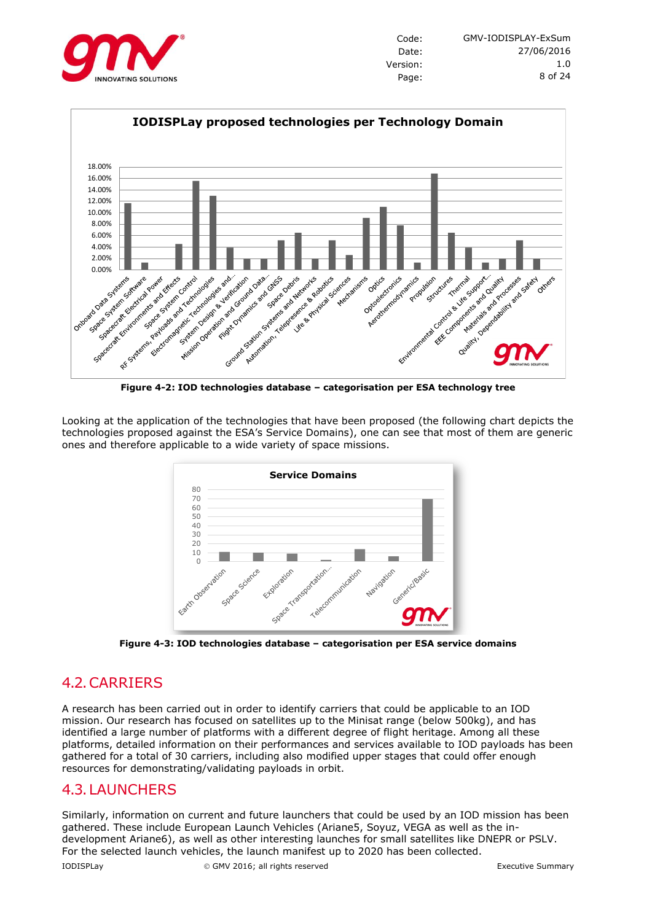



**Figure 4-2: IOD technologies database – categorisation per ESA technology tree**

<span id="page-7-0"></span>Looking at the application of the technologies that have been proposed (the following chart depicts the technologies proposed against the ESA's Service Domains), one can see that most of them are generic ones and therefore applicable to a wide variety of space missions.



**Figure 4-3: IOD technologies database – categorisation per ESA service domains**

# 4.2.CARRIERS

A research has been carried out in order to identify carriers that could be applicable to an IOD mission. Our research has focused on satellites up to the Minisat range (below 500kg), and has identified a large number of platforms with a different degree of flight heritage. Among all these platforms, detailed information on their performances and services available to IOD payloads has been gathered for a total of 30 carriers, including also modified upper stages that could offer enough resources for demonstrating/validating payloads in orbit.

### 4.3.LAUNCHERS

Similarly, information on current and future launchers that could be used by an IOD mission has been gathered. These include European Launch Vehicles (Ariane5, Soyuz, VEGA as well as the indevelopment Ariane6), as well as other interesting launches for small satellites like DNEPR or PSLV. For the selected launch vehicles, the launch manifest up to 2020 has been collected.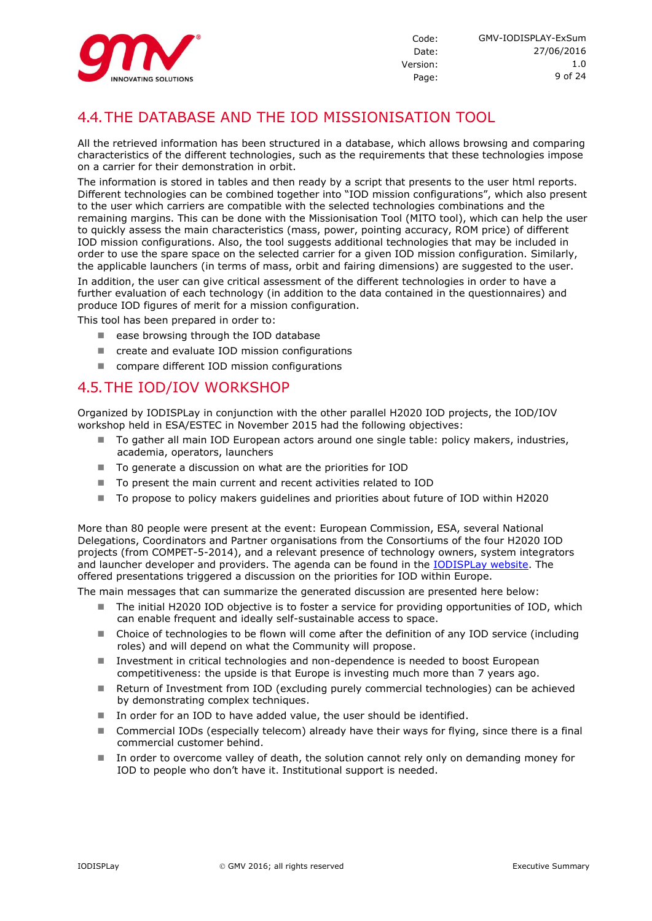

# 4.4.THE DATABASE AND THE IOD MISSIONISATION TOOL

All the retrieved information has been structured in a database, which allows browsing and comparing characteristics of the different technologies, such as the requirements that these technologies impose on a carrier for their demonstration in orbit.

The information is stored in tables and then ready by a script that presents to the user html reports. Different technologies can be combined together into "IOD mission configurations", which also present to the user which carriers are compatible with the selected technologies combinations and the remaining margins. This can be done with the Missionisation Tool (MITO tool), which can help the user to quickly assess the main characteristics (mass, power, pointing accuracy, ROM price) of different IOD mission configurations. Also, the tool suggests additional technologies that may be included in order to use the spare space on the selected carrier for a given IOD mission configuration. Similarly, the applicable launchers (in terms of mass, orbit and fairing dimensions) are suggested to the user.

In addition, the user can give critical assessment of the different technologies in order to have a further evaluation of each technology (in addition to the data contained in the questionnaires) and produce IOD figures of merit for a mission configuration.

This tool has been prepared in order to:

- ease browsing through the IOD database
- create and evaluate IOD mission configurations
- compare different IOD mission configurations

#### 4.5.THE IOD/IOV WORKSHOP

Organized by IODISPLay in conjunction with the other parallel H2020 IOD projects, the IOD/IOV workshop held in ESA/ESTEC in November 2015 had the following objectives:

- To gather all main IOD European actors around one single table: policy makers, industries, academia, operators, launchers
- To generate a discussion on what are the priorities for IOD
- To present the main current and recent activities related to IOD
- To propose to policy makers guidelines and priorities about future of IOD within H2020

More than 80 people were present at the event: European Commission, ESA, several National Delegations, Coordinators and Partner organisations from the Consortiums of the four H2020 IOD projects (from COMPET-5-2014), and a relevant presence of technology owners, system integrators and launcher developer and providers. The agenda can be found in the [IODISPLay website.](http://www.iodisplay.eu/iod_workshop/) The offered presentations triggered a discussion on the priorities for IOD within Europe.

The main messages that can summarize the generated discussion are presented here below:

- The initial H2020 IOD objective is to foster a service for providing opportunities of IOD, which can enable frequent and ideally self-sustainable access to space.
- Choice of technologies to be flown will come after the definition of any IOD service (including roles) and will depend on what the Community will propose.
- Investment in critical technologies and non-dependence is needed to boost European competitiveness: the upside is that Europe is investing much more than 7 years ago.
- Return of Investment from IOD (excluding purely commercial technologies) can be achieved by demonstrating complex techniques.
- In order for an IOD to have added value, the user should be identified.
- Commercial IODs (especially telecom) already have their ways for flying, since there is a final commercial customer behind.
- In order to overcome valley of death, the solution cannot rely only on demanding money for IOD to people who don't have it. Institutional support is needed.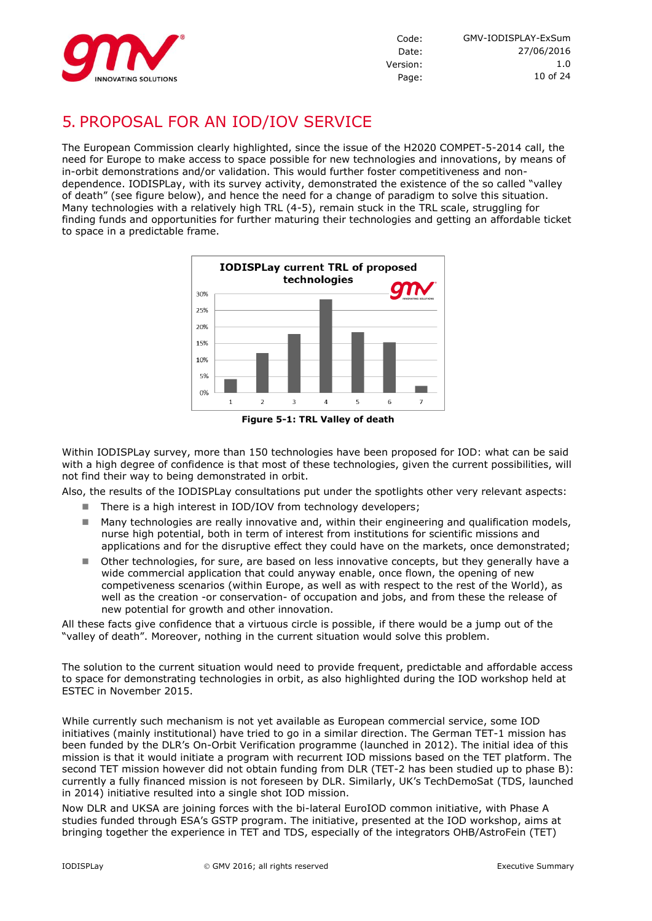

# 5. PROPOSAL FOR AN IOD/IOV SERVICE

The European Commission clearly highlighted, since the issue of the H2020 COMPET-5-2014 call, the need for Europe to make access to space possible for new technologies and innovations, by means of in-orbit demonstrations and/or validation. This would further foster competitiveness and nondependence. IODISPLay, with its survey activity, demonstrated the existence of the so called "valley of death" (see figure below), and hence the need for a change of paradigm to solve this situation. Many technologies with a relatively high TRL (4-5), remain stuck in the TRL scale, struggling for finding funds and opportunities for further maturing their technologies and getting an affordable ticket to space in a predictable frame.



Within IODISPLay survey, more than 150 technologies have been proposed for IOD: what can be said with a high degree of confidence is that most of these technologies, given the current possibilities, will not find their way to being demonstrated in orbit.

Also, the results of the IODISPLay consultations put under the spotlights other very relevant aspects:

- There is a high interest in IOD/IOV from technology developers;
- $\blacksquare$  Many technologies are really innovative and, within their engineering and qualification models, nurse high potential, both in term of interest from institutions for scientific missions and applications and for the disruptive effect they could have on the markets, once demonstrated;
- Other technologies, for sure, are based on less innovative concepts, but they generally have a wide commercial application that could anyway enable, once flown, the opening of new competiveness scenarios (within Europe, as well as with respect to the rest of the World), as well as the creation -or conservation- of occupation and jobs, and from these the release of new potential for growth and other innovation.

All these facts give confidence that a virtuous circle is possible, if there would be a jump out of the "valley of death". Moreover, nothing in the current situation would solve this problem.

The solution to the current situation would need to provide frequent, predictable and affordable access to space for demonstrating technologies in orbit, as also highlighted during the IOD workshop held at ESTEC in November 2015.

While currently such mechanism is not yet available as European commercial service, some IOD initiatives (mainly institutional) have tried to go in a similar direction. The German TET-1 mission has been funded by the DLR's On-Orbit Verification programme (launched in 2012). The initial idea of this mission is that it would initiate a program with recurrent IOD missions based on the TET platform. The second TET mission however did not obtain funding from DLR (TET-2 has been studied up to phase B): currently a fully financed mission is not foreseen by DLR. Similarly, UK's TechDemoSat (TDS, launched in 2014) initiative resulted into a single shot IOD mission.

Now DLR and UKSA are joining forces with the bi-lateral EuroIOD common initiative, with Phase A studies funded through ESA's GSTP program. The initiative, presented at the IOD workshop, aims at bringing together the experience in TET and TDS, especially of the integrators OHB/AstroFein (TET)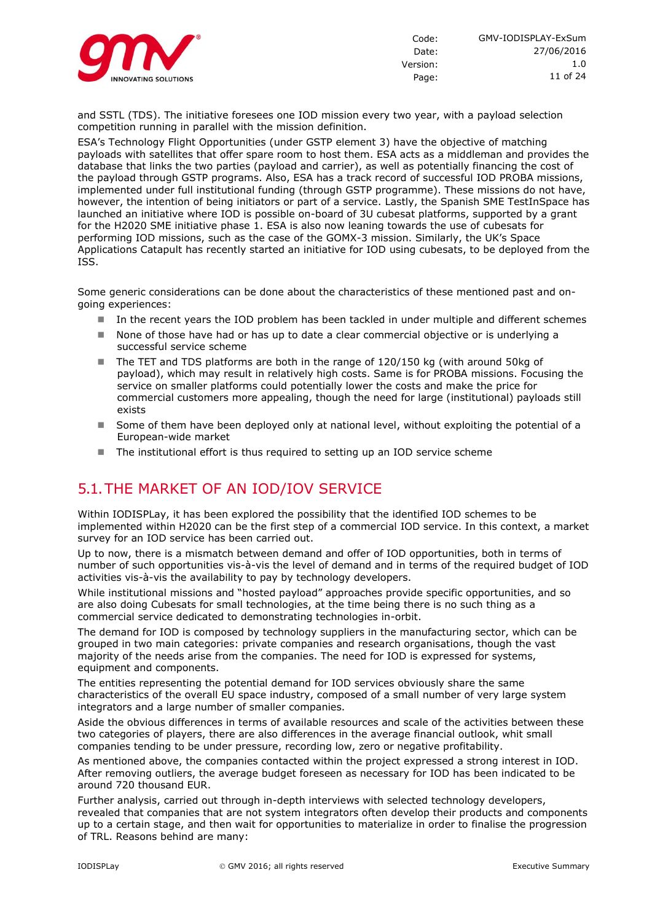

and SSTL (TDS). The initiative foresees one IOD mission every two year, with a payload selection competition running in parallel with the mission definition.

ESA's Technology Flight Opportunities (under GSTP element 3) have the objective of matching payloads with satellites that offer spare room to host them. ESA acts as a middleman and provides the database that links the two parties (payload and carrier), as well as potentially financing the cost of the payload through GSTP programs. Also, ESA has a track record of successful IOD PROBA missions, implemented under full institutional funding (through GSTP programme). These missions do not have, however, the intention of being initiators or part of a service. Lastly, the Spanish SME TestInSpace has launched an initiative where IOD is possible on-board of 3U cubesat platforms, supported by a grant for the H2020 SME initiative phase 1. ESA is also now leaning towards the use of cubesats for performing IOD missions, such as the case of the GOMX-3 mission. Similarly, the UK's Space Applications Catapult has recently started an initiative for IOD using cubesats, to be deployed from the ISS.

Some generic considerations can be done about the characteristics of these mentioned past and ongoing experiences:

- In the recent years the IOD problem has been tackled in under multiple and different schemes
- None of those have had or has up to date a clear commercial objective or is underlying a successful service scheme
- The TET and TDS platforms are both in the range of 120/150 kg (with around 50kg of payload), which may result in relatively high costs. Same is for PROBA missions. Focusing the service on smaller platforms could potentially lower the costs and make the price for commercial customers more appealing, though the need for large (institutional) payloads still exists
- Some of them have been deployed only at national level, without exploiting the potential of a European-wide market
- The institutional effort is thus required to setting up an IOD service scheme

### 5.1.THE MARKET OF AN IOD/IOV SERVICE

Within IODISPLay, it has been explored the possibility that the identified IOD schemes to be implemented within H2020 can be the first step of a commercial IOD service. In this context, a market survey for an IOD service has been carried out.

Up to now, there is a mismatch between demand and offer of IOD opportunities, both in terms of number of such opportunities vis-à-vis the level of demand and in terms of the required budget of IOD activities vis-à-vis the availability to pay by technology developers.

While institutional missions and "hosted payload" approaches provide specific opportunities, and so are also doing Cubesats for small technologies, at the time being there is no such thing as a commercial service dedicated to demonstrating technologies in-orbit.

The demand for IOD is composed by technology suppliers in the manufacturing sector, which can be grouped in two main categories: private companies and research organisations, though the vast majority of the needs arise from the companies. The need for IOD is expressed for systems, equipment and components.

The entities representing the potential demand for IOD services obviously share the same characteristics of the overall EU space industry, composed of a small number of very large system integrators and a large number of smaller companies.

Aside the obvious differences in terms of available resources and scale of the activities between these two categories of players, there are also differences in the average financial outlook, whit small companies tending to be under pressure, recording low, zero or negative profitability.

As mentioned above, the companies contacted within the project expressed a strong interest in IOD. After removing outliers, the average budget foreseen as necessary for IOD has been indicated to be around 720 thousand EUR.

Further analysis, carried out through in-depth interviews with selected technology developers, revealed that companies that are not system integrators often develop their products and components up to a certain stage, and then wait for opportunities to materialize in order to finalise the progression of TRL. Reasons behind are many: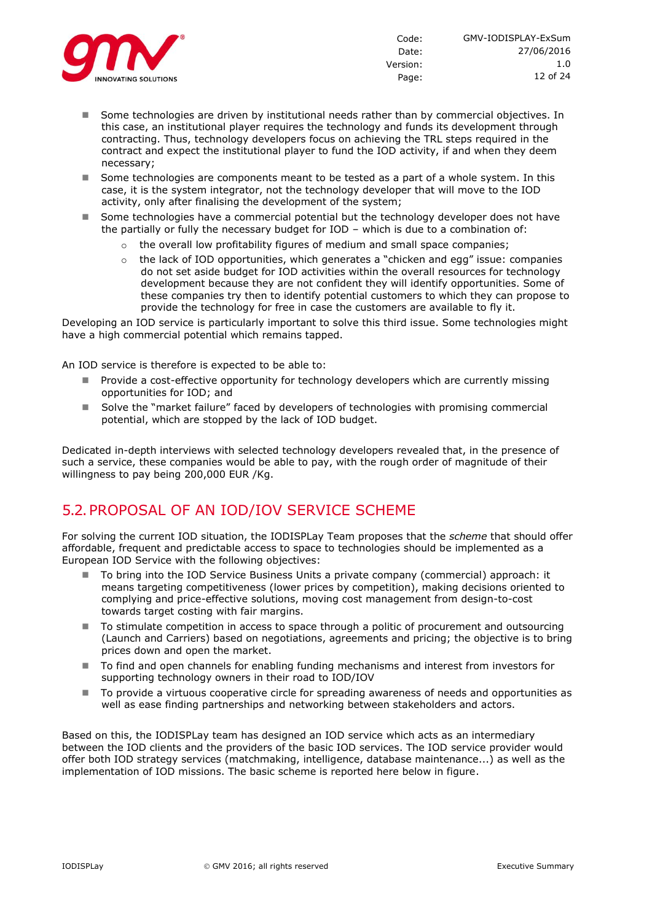

- Some technologies are driven by institutional needs rather than by commercial objectives. In this case, an institutional player requires the technology and funds its development through contracting. Thus, technology developers focus on achieving the TRL steps required in the contract and expect the institutional player to fund the IOD activity, if and when they deem necessary;
- Some technologies are components meant to be tested as a part of a whole system. In this case, it is the system integrator, not the technology developer that will move to the IOD activity, only after finalising the development of the system;
- Some technologies have a commercial potential but the technology developer does not have the partially or fully the necessary budget for IOD – which is due to a combination of:
	- the overall low profitability figures of medium and small space companies;
	- $\circ$  the lack of IOD opportunities, which generates a "chicken and egg" issue: companies do not set aside budget for IOD activities within the overall resources for technology development because they are not confident they will identify opportunities. Some of these companies try then to identify potential customers to which they can propose to provide the technology for free in case the customers are available to fly it.

Developing an IOD service is particularly important to solve this third issue. Some technologies might have a high commercial potential which remains tapped.

An IOD service is therefore is expected to be able to:

- Provide a cost-effective opportunity for technology developers which are currently missing opportunities for IOD; and
- Solve the "market failure" faced by developers of technologies with promising commercial potential, which are stopped by the lack of IOD budget.

Dedicated in-depth interviews with selected technology developers revealed that, in the presence of such a service, these companies would be able to pay, with the rough order of magnitude of their willingness to pay being 200,000 EUR /Kg.

# 5.2.PROPOSAL OF AN IOD/IOV SERVICE SCHEME

For solving the current IOD situation, the IODISPLay Team proposes that the *scheme* that should offer affordable, frequent and predictable access to space to technologies should be implemented as a European IOD Service with the following objectives:

- To bring into the IOD Service Business Units a private company (commercial) approach: it means targeting competitiveness (lower prices by competition), making decisions oriented to complying and price-effective solutions, moving cost management from design-to-cost towards target costing with fair margins.
- To stimulate competition in access to space through a politic of procurement and outsourcing (Launch and Carriers) based on negotiations, agreements and pricing; the objective is to bring prices down and open the market.
- To find and open channels for enabling funding mechanisms and interest from investors for supporting technology owners in their road to IOD/IOV
- To provide a virtuous cooperative circle for spreading awareness of needs and opportunities as well as ease finding partnerships and networking between stakeholders and actors.

Based on this, the IODISPLay team has designed an IOD service which acts as an intermediary between the IOD clients and the providers of the basic IOD services. The IOD service provider would offer both IOD strategy services (matchmaking, intelligence, database maintenance...) as well as the implementation of IOD missions. The basic scheme is reported here below in figure.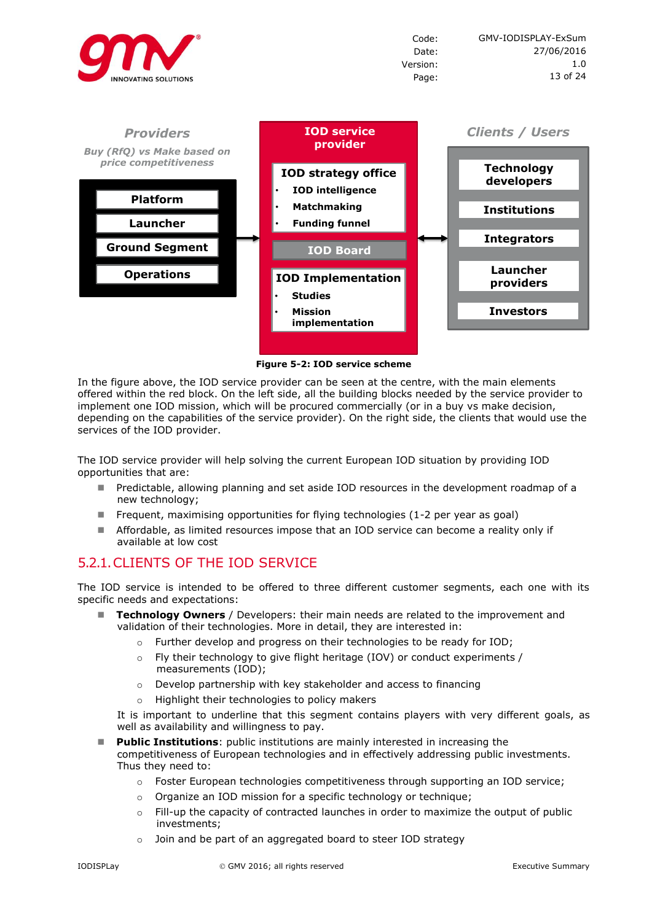



**Figure 5-2: IOD service scheme**

In the figure above, the IOD service provider can be seen at the centre, with the main elements offered within the red block. On the left side, all the building blocks needed by the service provider to implement one IOD mission, which will be procured commercially (or in a buy vs make decision, depending on the capabilities of the service provider). On the right side, the clients that would use the services of the IOD provider.

The IOD service provider will help solving the current European IOD situation by providing IOD opportunities that are:

- Predictable, allowing planning and set aside IOD resources in the development roadmap of a new technology;
- Frequent, maximising opportunities for flying technologies  $(1-2)$  per year as goal)
- Affordable, as limited resources impose that an IOD service can become a reality only if available at low cost

#### 5.2.1.CLIENTS OF THE IOD SERVICE

The IOD service is intended to be offered to three different customer segments, each one with its specific needs and expectations:

- **Technology Owners** / Developers: their main needs are related to the improvement and validation of their technologies. More in detail, they are interested in:
	- $\circ$  Further develop and progress on their technologies to be ready for IOD:
	- o Fly their technology to give flight heritage (IOV) or conduct experiments / measurements (IOD);
	- o Develop partnership with key stakeholder and access to financing
	- o Highlight their technologies to policy makers

It is important to underline that this segment contains players with very different goals, as well as availability and willingness to pay.

- **Public Institutions**: public institutions are mainly interested in increasing the competitiveness of European technologies and in effectively addressing public investments. Thus they need to:
	- o Foster European technologies competitiveness through supporting an IOD service;
	- o Organize an IOD mission for a specific technology or technique;
	- o Fill-up the capacity of contracted launches in order to maximize the output of public investments;
	- o Join and be part of an aggregated board to steer IOD strategy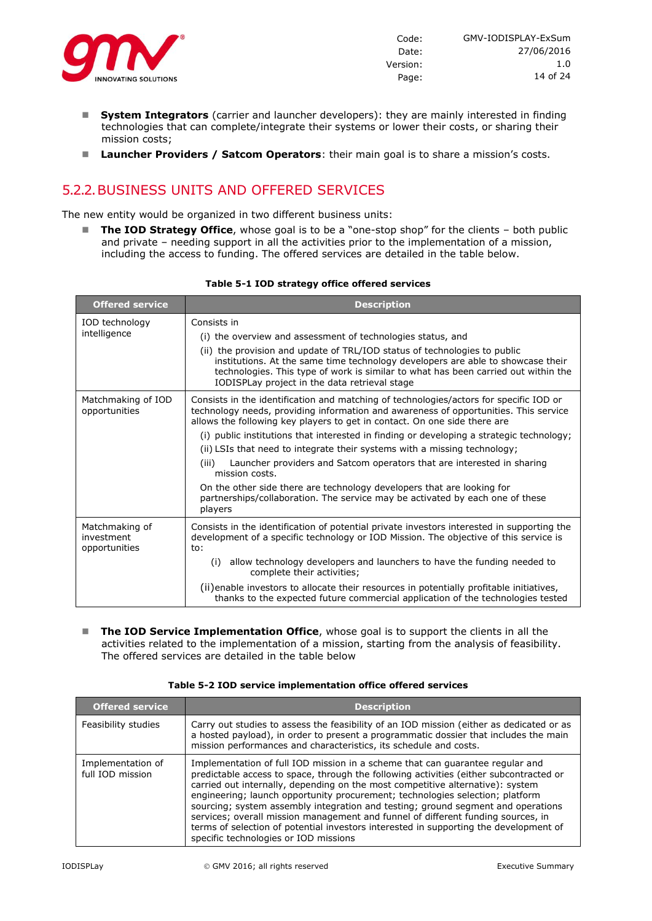

- **System Integrators** (carrier and launcher developers): they are mainly interested in finding technologies that can complete/integrate their systems or lower their costs, or sharing their mission costs;
- **Launcher Providers / Satcom Operators**: their main goal is to share a mission's costs.

# 5.2.2.BUSINESS UNITS AND OFFERED SERVICES

The new entity would be organized in two different business units:

■ The IOD Strategy Office, whose goal is to be a "one-stop shop" for the clients – both public and private – needing support in all the activities prior to the implementation of a mission, including the access to funding. The offered services are detailed in the table below.

| <b>Offered service</b>                        | <b>Description</b>                                                                                                                                                                                                                                                                                  |
|-----------------------------------------------|-----------------------------------------------------------------------------------------------------------------------------------------------------------------------------------------------------------------------------------------------------------------------------------------------------|
| IOD technology                                | Consists in                                                                                                                                                                                                                                                                                         |
| intelligence                                  | (i) the overview and assessment of technologies status, and                                                                                                                                                                                                                                         |
|                                               | (ii) the provision and update of TRL/IOD status of technologies to public<br>institutions. At the same time technology developers are able to showcase their<br>technologies. This type of work is similar to what has been carried out within the<br>IODISPLay project in the data retrieval stage |
| Matchmaking of IOD<br>opportunities           | Consists in the identification and matching of technologies/actors for specific IOD or<br>technology needs, providing information and awareness of opportunities. This service<br>allows the following key players to get in contact. On one side there are                                         |
|                                               | (i) public institutions that interested in finding or developing a strategic technology;                                                                                                                                                                                                            |
|                                               | (ii) LSIs that need to integrate their systems with a missing technology;                                                                                                                                                                                                                           |
|                                               | Launcher providers and Satcom operators that are interested in sharing<br>(iii)<br>mission costs.                                                                                                                                                                                                   |
|                                               | On the other side there are technology developers that are looking for<br>partnerships/collaboration. The service may be activated by each one of these<br>players                                                                                                                                  |
| Matchmaking of<br>investment<br>opportunities | Consists in the identification of potential private investors interested in supporting the<br>development of a specific technology or IOD Mission. The objective of this service is<br>to:                                                                                                          |
|                                               | (i) allow technology developers and launchers to have the funding needed to<br>complete their activities;                                                                                                                                                                                           |
|                                               | (ii) enable investors to allocate their resources in potentially profitable initiatives,<br>thanks to the expected future commercial application of the technologies tested                                                                                                                         |

#### **Table 5-1 IOD strategy office offered services**

**The IOD Service Implementation Office**, whose goal is to support the clients in all the activities related to the implementation of a mission, starting from the analysis of feasibility. The offered services are detailed in the table below

|  |  | Table 5-2 IOD service implementation office offered services |  |  |
|--|--|--------------------------------------------------------------|--|--|
|--|--|--------------------------------------------------------------|--|--|

| <b>Offered service</b>                | <b>Description</b>                                                                                                                                                                                                                                                                                                                                                                                                                                                                                                                                                                                                                                   |
|---------------------------------------|------------------------------------------------------------------------------------------------------------------------------------------------------------------------------------------------------------------------------------------------------------------------------------------------------------------------------------------------------------------------------------------------------------------------------------------------------------------------------------------------------------------------------------------------------------------------------------------------------------------------------------------------------|
| Feasibility studies                   | Carry out studies to assess the feasibility of an IOD mission (either as dedicated or as<br>a hosted payload), in order to present a programmatic dossier that includes the main<br>mission performances and characteristics, its schedule and costs.                                                                                                                                                                                                                                                                                                                                                                                                |
| Implementation of<br>full IOD mission | Implementation of full IOD mission in a scheme that can quarantee regular and<br>predictable access to space, through the following activities (either subcontracted or<br>carried out internally, depending on the most competitive alternative): system<br>engineering; launch opportunity procurement; technologies selection; platform<br>sourcing; system assembly integration and testing; ground segment and operations<br>services; overall mission management and funnel of different funding sources, in<br>terms of selection of potential investors interested in supporting the development of<br>specific technologies or IOD missions |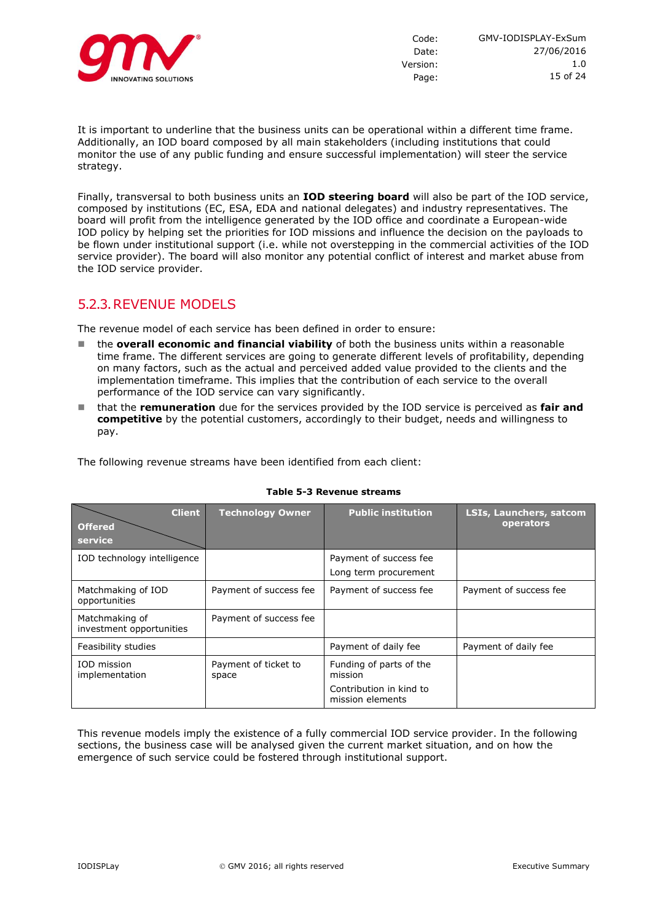

It is important to underline that the business units can be operational within a different time frame. Additionally, an IOD board composed by all main stakeholders (including institutions that could monitor the use of any public funding and ensure successful implementation) will steer the service strategy.

Finally, transversal to both business units an **IOD steering board** will also be part of the IOD service, composed by institutions (EC, ESA, EDA and national delegates) and industry representatives. The board will profit from the intelligence generated by the IOD office and coordinate a European-wide IOD policy by helping set the priorities for IOD missions and influence the decision on the payloads to be flown under institutional support (i.e. while not overstepping in the commercial activities of the IOD service provider). The board will also monitor any potential conflict of interest and market abuse from the IOD service provider.

#### 5.2.3.REVENUE MODELS

The revenue model of each service has been defined in order to ensure:

- the **overall economic and financial viability** of both the business units within a reasonable time frame. The different services are going to generate different levels of profitability, depending on many factors, such as the actual and perceived added value provided to the clients and the implementation timeframe. This implies that the contribution of each service to the overall performance of the IOD service can vary significantly.
- that the **remuneration** due for the services provided by the IOD service is perceived as **fair and competitive** by the potential customers, accordingly to their budget, needs and willingness to pay.

The following revenue streams have been identified from each client:

| <b>Client</b>                              | <b>Technology Owner</b>       | <b>Public institution</b>                                                         | <b>LSIs, Launchers, satcom</b> |
|--------------------------------------------|-------------------------------|-----------------------------------------------------------------------------------|--------------------------------|
| <b>Offered</b>                             |                               |                                                                                   | operators                      |
| service                                    |                               |                                                                                   |                                |
| IOD technology intelligence                |                               | Payment of success fee                                                            |                                |
|                                            |                               | Long term procurement                                                             |                                |
| Matchmaking of IOD<br>opportunities        | Payment of success fee        | Payment of success fee                                                            | Payment of success fee         |
| Matchmaking of<br>investment opportunities | Payment of success fee        |                                                                                   |                                |
| Feasibility studies                        |                               | Payment of daily fee                                                              | Payment of daily fee           |
| IOD mission<br>implementation              | Payment of ticket to<br>space | Funding of parts of the<br>mission<br>Contribution in kind to<br>mission elements |                                |

#### **Table 5-3 Revenue streams**

This revenue models imply the existence of a fully commercial IOD service provider. In the following sections, the business case will be analysed given the current market situation, and on how the emergence of such service could be fostered through institutional support.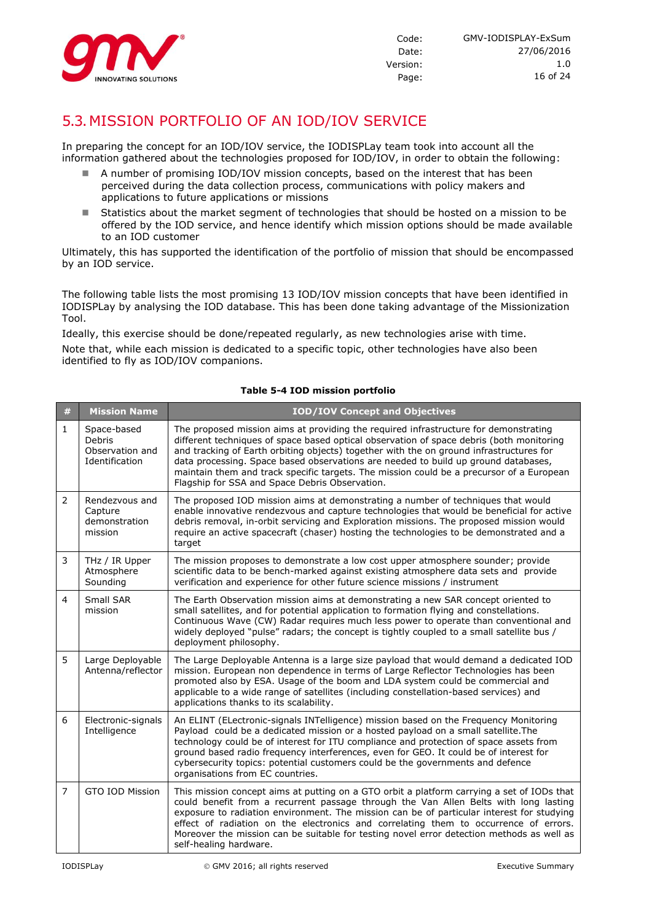

# 5.3.MISSION PORTFOLIO OF AN IOD/IOV SERVICE

In preparing the concept for an IOD/IOV service, the IODISPLay team took into account all the information gathered about the technologies proposed for IOD/IOV, in order to obtain the following:

- A number of promising IOD/IOV mission concepts, based on the interest that has been perceived during the data collection process, communications with policy makers and applications to future applications or missions
- Statistics about the market segment of technologies that should be hosted on a mission to be offered by the IOD service, and hence identify which mission options should be made available to an IOD customer

Ultimately, this has supported the identification of the portfolio of mission that should be encompassed by an IOD service.

The following table lists the most promising 13 IOD/IOV mission concepts that have been identified in IODISPLay by analysing the IOD database. This has been done taking advantage of the Missionization Tool.

Ideally, this exercise should be done/repeated regularly, as new technologies arise with time.

Note that, while each mission is dedicated to a specific topic, other technologies have also been identified to fly as IOD/IOV companions.

#### **Table 5-4 IOD mission portfolio**

| $\#$           | <b>Mission Name</b>                                        | <b>IOD/IOV Concept and Objectives</b>                                                                                                                                                                                                                                                                                                                                                                                                                                                                           |
|----------------|------------------------------------------------------------|-----------------------------------------------------------------------------------------------------------------------------------------------------------------------------------------------------------------------------------------------------------------------------------------------------------------------------------------------------------------------------------------------------------------------------------------------------------------------------------------------------------------|
| $\mathbf{1}$   | Space-based<br>Debris<br>Observation and<br>Identification | The proposed mission aims at providing the required infrastructure for demonstrating<br>different techniques of space based optical observation of space debris (both monitoring<br>and tracking of Earth orbiting objects) together with the on ground infrastructures for<br>data processing. Space based observations are needed to build up ground databases,<br>maintain them and track specific targets. The mission could be a precursor of a European<br>Flagship for SSA and Space Debris Observation. |
| $\overline{2}$ | Rendezvous and<br>Capture<br>demonstration<br>mission      | The proposed IOD mission aims at demonstrating a number of techniques that would<br>enable innovative rendezvous and capture technologies that would be beneficial for active<br>debris removal, in-orbit servicing and Exploration missions. The proposed mission would<br>require an active spacecraft (chaser) hosting the technologies to be demonstrated and a<br>target                                                                                                                                   |
| 3              | THz / IR Upper<br>Atmosphere<br>Sounding                   | The mission proposes to demonstrate a low cost upper atmosphere sounder; provide<br>scientific data to be bench-marked against existing atmosphere data sets and provide<br>verification and experience for other future science missions / instrument                                                                                                                                                                                                                                                          |
| 4              | Small SAR<br>mission                                       | The Earth Observation mission aims at demonstrating a new SAR concept oriented to<br>small satellites, and for potential application to formation flying and constellations.<br>Continuous Wave (CW) Radar requires much less power to operate than conventional and<br>widely deployed "pulse" radars; the concept is tightly coupled to a small satellite bus /<br>deployment philosophy.                                                                                                                     |
| 5              | Large Deployable<br>Antenna/reflector                      | The Large Deployable Antenna is a large size payload that would demand a dedicated IOD<br>mission. European non dependence in terms of Large Reflector Technologies has been<br>promoted also by ESA. Usage of the boom and LDA system could be commercial and<br>applicable to a wide range of satellites (including constellation-based services) and<br>applications thanks to its scalability.                                                                                                              |
| 6              | Electronic-signals<br>Intelligence                         | An ELINT (ELectronic-signals INTelligence) mission based on the Frequency Monitoring<br>Payload could be a dedicated mission or a hosted payload on a small satellite. The<br>technology could be of interest for ITU compliance and protection of space assets from<br>ground based radio frequency interferences, even for GEO. It could be of interest for<br>cybersecurity topics: potential customers could be the governments and defence<br>organisations from EC countries.                             |
| $\overline{7}$ | GTO IOD Mission                                            | This mission concept aims at putting on a GTO orbit a platform carrying a set of IODs that<br>could benefit from a recurrent passage through the Van Allen Belts with long lasting<br>exposure to radiation environment. The mission can be of particular interest for studying<br>effect of radiation on the electronics and correlating them to occurrence of errors.<br>Moreover the mission can be suitable for testing novel error detection methods as well as<br>self-healing hardware.                  |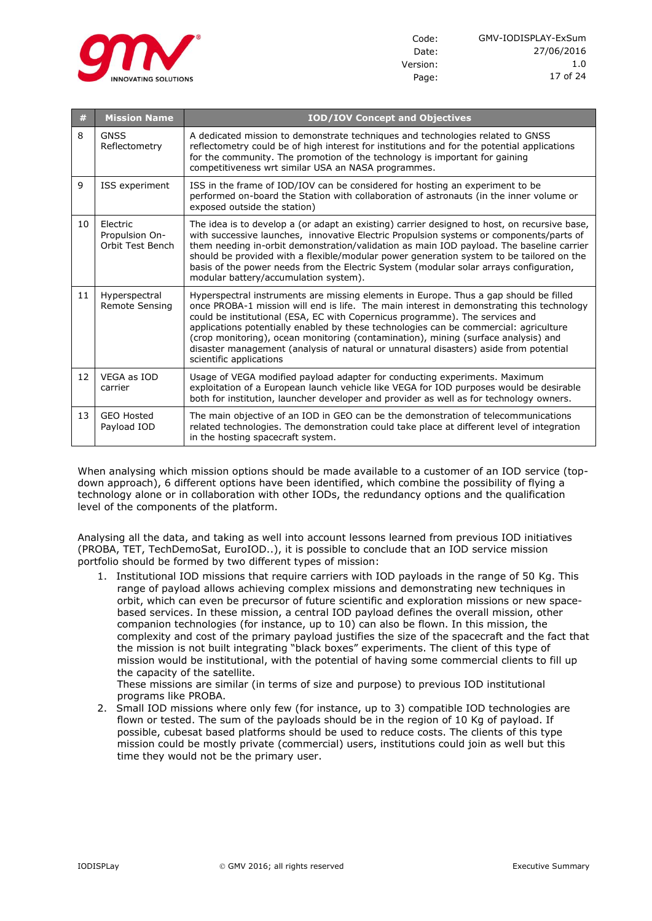

| #  | <b>Mission Name</b>                            | <b>IOD/IOV Concept and Objectives</b>                                                                                                                                                                                                                                                                                                                                                                                                                                                                                                                                 |
|----|------------------------------------------------|-----------------------------------------------------------------------------------------------------------------------------------------------------------------------------------------------------------------------------------------------------------------------------------------------------------------------------------------------------------------------------------------------------------------------------------------------------------------------------------------------------------------------------------------------------------------------|
| 8  | <b>GNSS</b><br>Reflectometry                   | A dedicated mission to demonstrate techniques and technologies related to GNSS<br>reflectometry could be of high interest for institutions and for the potential applications<br>for the community. The promotion of the technology is important for gaining<br>competitiveness wrt similar USA an NASA programmes.                                                                                                                                                                                                                                                   |
| 9  | ISS experiment                                 | ISS in the frame of IOD/IOV can be considered for hosting an experiment to be<br>performed on-board the Station with collaboration of astronauts (in the inner volume or<br>exposed outside the station)                                                                                                                                                                                                                                                                                                                                                              |
| 10 | Electric<br>Propulsion On-<br>Orbit Test Bench | The idea is to develop a (or adapt an existing) carrier designed to host, on recursive base,<br>with successive launches, innovative Electric Propulsion systems or components/parts of<br>them needing in-orbit demonstration/validation as main IOD payload. The baseline carrier<br>should be provided with a flexible/modular power generation system to be tailored on the<br>basis of the power needs from the Electric System (modular solar arrays configuration,<br>modular battery/accumulation system).                                                    |
| 11 | Hyperspectral<br><b>Remote Sensing</b>         | Hyperspectral instruments are missing elements in Europe. Thus a gap should be filled<br>once PROBA-1 mission will end is life. The main interest in demonstrating this technology<br>could be institutional (ESA, EC with Copernicus programme). The services and<br>applications potentially enabled by these technologies can be commercial: agriculture<br>(crop monitoring), ocean monitoring (contamination), mining (surface analysis) and<br>disaster management (analysis of natural or unnatural disasters) aside from potential<br>scientific applications |
| 12 | VEGA as IOD<br>carrier                         | Usage of VEGA modified payload adapter for conducting experiments. Maximum<br>exploitation of a European launch vehicle like VEGA for IOD purposes would be desirable<br>both for institution, launcher developer and provider as well as for technology owners.                                                                                                                                                                                                                                                                                                      |
| 13 | <b>GEO Hosted</b><br>Payload IOD               | The main objective of an IOD in GEO can be the demonstration of telecommunications<br>related technologies. The demonstration could take place at different level of integration<br>in the hosting spacecraft system.                                                                                                                                                                                                                                                                                                                                                 |

When analysing which mission options should be made available to a customer of an IOD service (topdown approach), 6 different options have been identified, which combine the possibility of flying a technology alone or in collaboration with other IODs, the redundancy options and the qualification level of the components of the platform.

Analysing all the data, and taking as well into account lessons learned from previous IOD initiatives (PROBA, TET, TechDemoSat, EuroIOD..), it is possible to conclude that an IOD service mission portfolio should be formed by two different types of mission:

1. Institutional IOD missions that require carriers with IOD payloads in the range of 50 Kg. This range of payload allows achieving complex missions and demonstrating new techniques in orbit, which can even be precursor of future scientific and exploration missions or new spacebased services. In these mission, a central IOD payload defines the overall mission, other companion technologies (for instance, up to 10) can also be flown. In this mission, the complexity and cost of the primary payload justifies the size of the spacecraft and the fact that the mission is not built integrating "black boxes" experiments. The client of this type of mission would be institutional, with the potential of having some commercial clients to fill up the capacity of the satellite.

These missions are similar (in terms of size and purpose) to previous IOD institutional programs like PROBA.

2. Small IOD missions where only few (for instance, up to 3) compatible IOD technologies are flown or tested. The sum of the payloads should be in the region of 10 Kg of payload. If possible, cubesat based platforms should be used to reduce costs. The clients of this type mission could be mostly private (commercial) users, institutions could join as well but this time they would not be the primary user.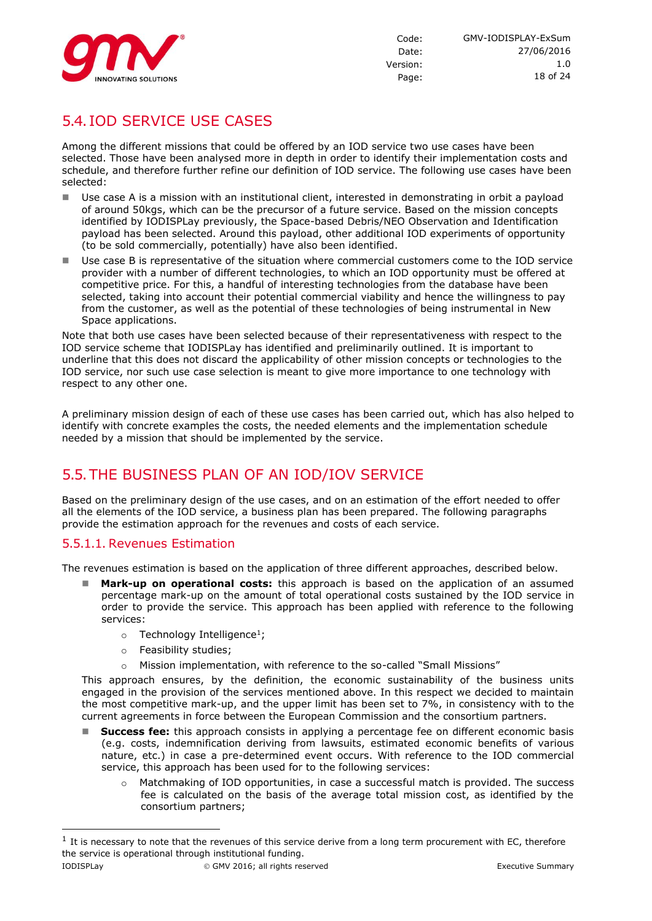

# 5.4. IOD SERVICE USE CASES

Among the different missions that could be offered by an IOD service two use cases have been selected. Those have been analysed more in depth in order to identify their implementation costs and schedule, and therefore further refine our definition of IOD service. The following use cases have been selected:

- Use case A is a mission with an institutional client, interested in demonstrating in orbit a payload of around 50kgs, which can be the precursor of a future service. Based on the mission concepts identified by IODISPLay previously, the Space-based Debris/NEO Observation and Identification payload has been selected. Around this payload, other additional IOD experiments of opportunity (to be sold commercially, potentially) have also been identified.
- Use case B is representative of the situation where commercial customers come to the IOD service provider with a number of different technologies, to which an IOD opportunity must be offered at competitive price. For this, a handful of interesting technologies from the database have been selected, taking into account their potential commercial viability and hence the willingness to pay from the customer, as well as the potential of these technologies of being instrumental in New Space applications.

Note that both use cases have been selected because of their representativeness with respect to the IOD service scheme that IODISPLay has identified and preliminarily outlined. It is important to underline that this does not discard the applicability of other mission concepts or technologies to the IOD service, nor such use case selection is meant to give more importance to one technology with respect to any other one.

A preliminary mission design of each of these use cases has been carried out, which has also helped to identify with concrete examples the costs, the needed elements and the implementation schedule needed by a mission that should be implemented by the service.

# 5.5.THE BUSINESS PLAN OF AN IOD/IOV SERVICE

Based on the preliminary design of the use cases, and on an estimation of the effort needed to offer all the elements of the IOD service, a business plan has been prepared. The following paragraphs provide the estimation approach for the revenues and costs of each service.

#### 5.5.1.1. Revenues Estimation

The revenues estimation is based on the application of three different approaches, described below.

- **Mark-up on operational costs:** this approach is based on the application of an assumed percentage mark-up on the amount of total operational costs sustained by the IOD service in order to provide the service. This approach has been applied with reference to the following services:
	- o Technology Intelligence<sup>1</sup>;
	- o Feasibility studies;
	- o Mission implementation, with reference to the so-called "Small Missions"

This approach ensures, by the definition, the economic sustainability of the business units engaged in the provision of the services mentioned above. In this respect we decided to maintain the most competitive mark-up, and the upper limit has been set to 7%, in consistency with to the current agreements in force between the European Commission and the consortium partners.

- **Success fee:** this approach consists in applying a percentage fee on different economic basis (e.g. costs, indemnification deriving from lawsuits, estimated economic benefits of various nature, etc.) in case a pre-determined event occurs. With reference to the IOD commercial service, this approach has been used for to the following services:
	- $\circ$  Matchmaking of IOD opportunities, in case a successful match is provided. The success fee is calculated on the basis of the average total mission cost, as identified by the consortium partners;

-

 $<sup>1</sup>$  It is necessary to note that the revenues of this service derive from a long term procurement with EC, therefore</sup> the service is operational through institutional funding.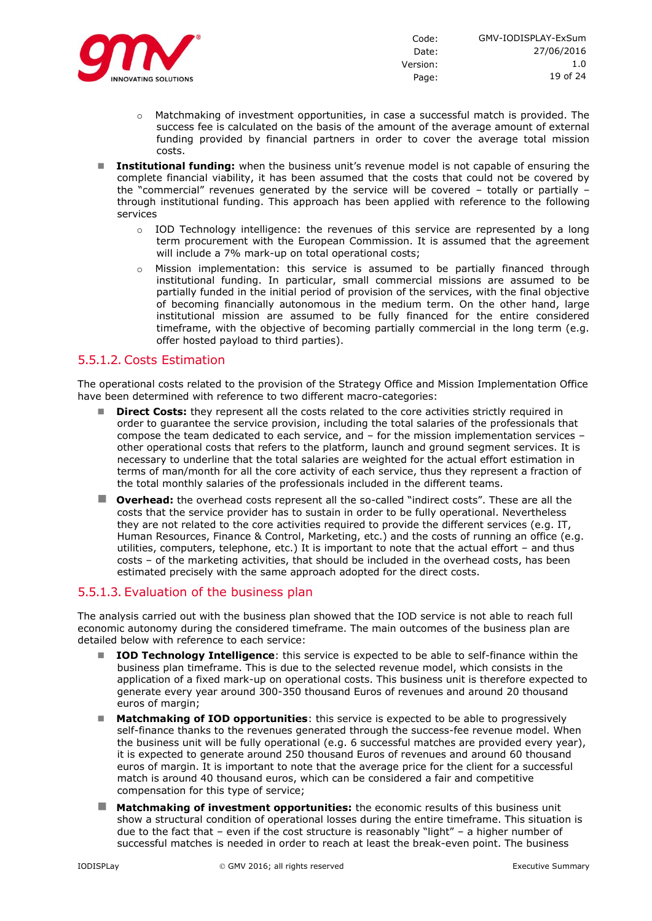

- $\circ$  Matchmaking of investment opportunities, in case a successful match is provided. The success fee is calculated on the basis of the amount of the average amount of external funding provided by financial partners in order to cover the average total mission costs.
- **Institutional funding:** when the business unit's revenue model is not capable of ensuring the complete financial viability, it has been assumed that the costs that could not be covered by the "commercial" revenues generated by the service will be covered – totally or partially – through institutional funding. This approach has been applied with reference to the following services
	- $\circ$  IOD Technology intelligence: the revenues of this service are represented by a long term procurement with the European Commission. It is assumed that the agreement will include a 7% mark-up on total operational costs;
	- o Mission implementation: this service is assumed to be partially financed through institutional funding. In particular, small commercial missions are assumed to be partially funded in the initial period of provision of the services, with the final objective of becoming financially autonomous in the medium term. On the other hand, large institutional mission are assumed to be fully financed for the entire considered timeframe, with the objective of becoming partially commercial in the long term (e.g. offer hosted payload to third parties).

#### 5.5.1.2. Costs Estimation

The operational costs related to the provision of the Strategy Office and Mission Implementation Office have been determined with reference to two different macro-categories:

- **Direct Costs:** they represent all the costs related to the core activities strictly required in order to guarantee the service provision, including the total salaries of the professionals that compose the team dedicated to each service, and – for the mission implementation services – other operational costs that refers to the platform, launch and ground segment services. It is necessary to underline that the total salaries are weighted for the actual effort estimation in terms of man/month for all the core activity of each service, thus they represent a fraction of the total monthly salaries of the professionals included in the different teams.
- **Overhead:** the overhead costs represent all the so-called "indirect costs". These are all the costs that the service provider has to sustain in order to be fully operational. Nevertheless they are not related to the core activities required to provide the different services (e.g. IT, Human Resources, Finance & Control, Marketing, etc.) and the costs of running an office (e.g. utilities, computers, telephone, etc.) It is important to note that the actual effort – and thus costs – of the marketing activities, that should be included in the overhead costs, has been estimated precisely with the same approach adopted for the direct costs.

#### 5.5.1.3. Evaluation of the business plan

The analysis carried out with the business plan showed that the IOD service is not able to reach full economic autonomy during the considered timeframe. The main outcomes of the business plan are detailed below with reference to each service:

- **IOD Technology Intelligence**: this service is expected to be able to self-finance within the business plan timeframe. This is due to the selected revenue model, which consists in the application of a fixed mark-up on operational costs. This business unit is therefore expected to generate every year around 300-350 thousand Euros of revenues and around 20 thousand euros of margin;
- **Matchmaking of IOD opportunities**: this service is expected to be able to progressively self-finance thanks to the revenues generated through the success-fee revenue model. When the business unit will be fully operational (e.g. 6 successful matches are provided every year), it is expected to generate around 250 thousand Euros of revenues and around 60 thousand euros of margin. It is important to note that the average price for the client for a successful match is around 40 thousand euros, which can be considered a fair and competitive compensation for this type of service;
- **Matchmaking of investment opportunities:** the economic results of this business unit show a structural condition of operational losses during the entire timeframe. This situation is due to the fact that – even if the cost structure is reasonably "light" – a higher number of successful matches is needed in order to reach at least the break-even point. The business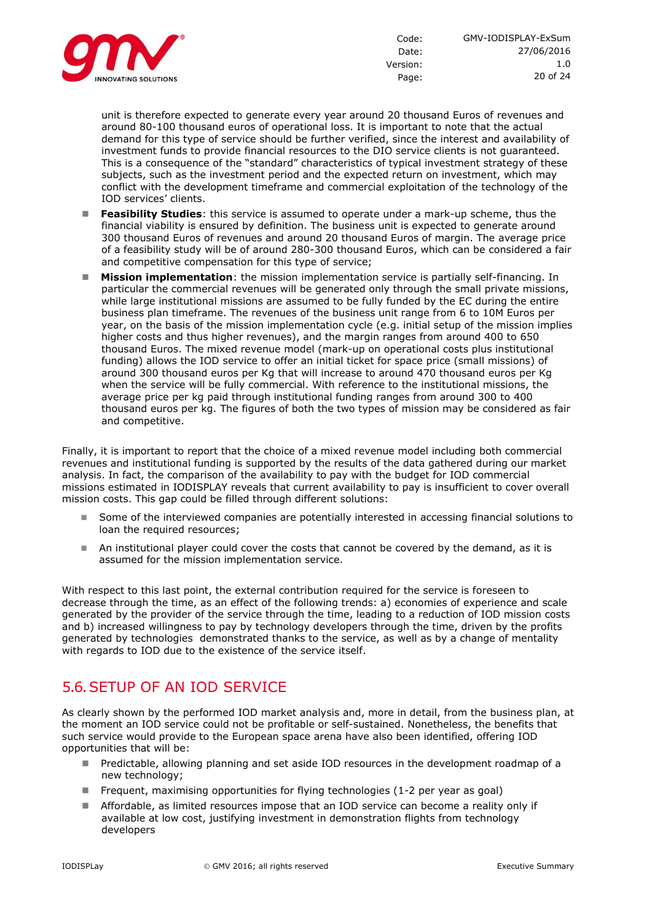

unit is therefore expected to generate every year around 20 thousand Euros of revenues and around 80-100 thousand euros of operational loss. It is important to note that the actual demand for this type of service should be further verified, since the interest and availability of investment funds to provide financial resources to the DIO service clients is not guaranteed. This is a consequence of the "standard" characteristics of typical investment strategy of these subjects, such as the investment period and the expected return on investment, which may conflict with the development timeframe and commercial exploitation of the technology of the IOD services' clients.

- **Feasibility Studies**: this service is assumed to operate under a mark-up scheme, thus the financial viability is ensured by definition. The business unit is expected to generate around 300 thousand Euros of revenues and around 20 thousand Euros of margin. The average price of a feasibility study will be of around 280-300 thousand Euros, which can be considered a fair and competitive compensation for this type of service;
- **Mission implementation**: the mission implementation service is partially self-financing. In particular the commercial revenues will be generated only through the small private missions, while large institutional missions are assumed to be fully funded by the EC during the entire business plan timeframe. The revenues of the business unit range from 6 to 10M Euros per year, on the basis of the mission implementation cycle (e.g. initial setup of the mission implies higher costs and thus higher revenues), and the margin ranges from around 400 to 650 thousand Euros. The mixed revenue model (mark-up on operational costs plus institutional funding) allows the IOD service to offer an initial ticket for space price (small missions) of around 300 thousand euros per Kg that will increase to around 470 thousand euros per Kg when the service will be fully commercial. With reference to the institutional missions, the average price per kg paid through institutional funding ranges from around 300 to 400 thousand euros per kg. The figures of both the two types of mission may be considered as fair and competitive.

Finally, it is important to report that the choice of a mixed revenue model including both commercial revenues and institutional funding is supported by the results of the data gathered during our market analysis. In fact, the comparison of the availability to pay with the budget for IOD commercial missions estimated in IODISPLAY reveals that current availability to pay is insufficient to cover overall mission costs. This gap could be filled through different solutions:

- Some of the interviewed companies are potentially interested in accessing financial solutions to loan the required resources;
- An institutional player could cover the costs that cannot be covered by the demand, as it is assumed for the mission implementation service.

With respect to this last point, the external contribution required for the service is foreseen to decrease through the time, as an effect of the following trends: a) economies of experience and scale generated by the provider of the service through the time, leading to a reduction of IOD mission costs and b) increased willingness to pay by technology developers through the time, driven by the profits generated by technologies demonstrated thanks to the service, as well as by a change of mentality with regards to IOD due to the existence of the service itself.

# 5.6.SETUP OF AN IOD SERVICE

As clearly shown by the performed IOD market analysis and, more in detail, from the business plan, at the moment an IOD service could not be profitable or self-sustained. Nonetheless, the benefits that such service would provide to the European space arena have also been identified, offering IOD opportunities that will be:

- Predictable, allowing planning and set aside IOD resources in the development roadmap of a new technology;
- Frequent, maximising opportunities for flying technologies (1-2 per year as goal)
- Affordable, as limited resources impose that an IOD service can become a reality only if available at low cost, justifying investment in demonstration flights from technology developers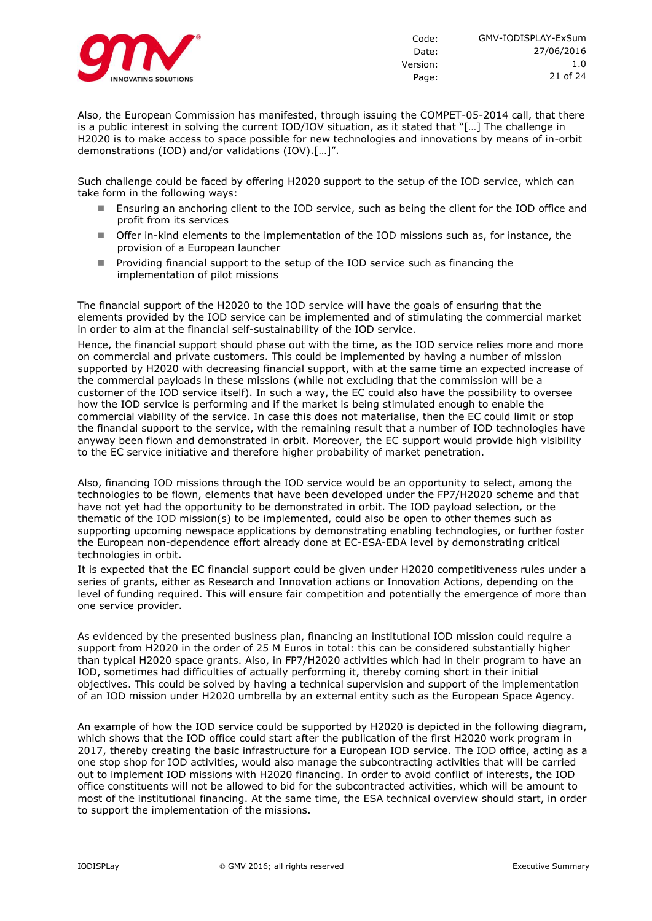

1.0

Also, the European Commission has manifested, through issuing the COMPET-05-2014 call, that there is a public interest in solving the current IOD/IOV situation, as it stated that "[…] The challenge in H2020 is to make access to space possible for new technologies and innovations by means of in-orbit demonstrations (IOD) and/or validations (IOV).[…]".

Such challenge could be faced by offering H2020 support to the setup of the IOD service, which can take form in the following ways:

- Ensuring an anchoring client to the IOD service, such as being the client for the IOD office and profit from its services
- Offer in-kind elements to the implementation of the IOD missions such as, for instance, the provision of a European launcher
- **Providing financial support to the setup of the IOD service such as financing the** implementation of pilot missions

The financial support of the H2020 to the IOD service will have the goals of ensuring that the elements provided by the IOD service can be implemented and of stimulating the commercial market in order to aim at the financial self-sustainability of the IOD service.

Hence, the financial support should phase out with the time, as the IOD service relies more and more on commercial and private customers. This could be implemented by having a number of mission supported by H2020 with decreasing financial support, with at the same time an expected increase of the commercial payloads in these missions (while not excluding that the commission will be a customer of the IOD service itself). In such a way, the EC could also have the possibility to oversee how the IOD service is performing and if the market is being stimulated enough to enable the commercial viability of the service. In case this does not materialise, then the EC could limit or stop the financial support to the service, with the remaining result that a number of IOD technologies have anyway been flown and demonstrated in orbit. Moreover, the EC support would provide high visibility to the EC service initiative and therefore higher probability of market penetration.

Also, financing IOD missions through the IOD service would be an opportunity to select, among the technologies to be flown, elements that have been developed under the FP7/H2020 scheme and that have not yet had the opportunity to be demonstrated in orbit. The IOD payload selection, or the thematic of the IOD mission(s) to be implemented, could also be open to other themes such as supporting upcoming newspace applications by demonstrating enabling technologies, or further foster the European non-dependence effort already done at EC-ESA-EDA level by demonstrating critical technologies in orbit.

It is expected that the EC financial support could be given under H2020 competitiveness rules under a series of grants, either as Research and Innovation actions or Innovation Actions, depending on the level of funding required. This will ensure fair competition and potentially the emergence of more than one service provider.

As evidenced by the presented business plan, financing an institutional IOD mission could require a support from H2020 in the order of 25 M Euros in total: this can be considered substantially higher than typical H2020 space grants. Also, in FP7/H2020 activities which had in their program to have an IOD, sometimes had difficulties of actually performing it, thereby coming short in their initial objectives. This could be solved by having a technical supervision and support of the implementation of an IOD mission under H2020 umbrella by an external entity such as the European Space Agency.

An example of how the IOD service could be supported by H2020 is depicted in the following diagram, which shows that the IOD office could start after the publication of the first H2020 work program in 2017, thereby creating the basic infrastructure for a European IOD service. The IOD office, acting as a one stop shop for IOD activities, would also manage the subcontracting activities that will be carried out to implement IOD missions with H2020 financing. In order to avoid conflict of interests, the IOD office constituents will not be allowed to bid for the subcontracted activities, which will be amount to most of the institutional financing. At the same time, the ESA technical overview should start, in order to support the implementation of the missions.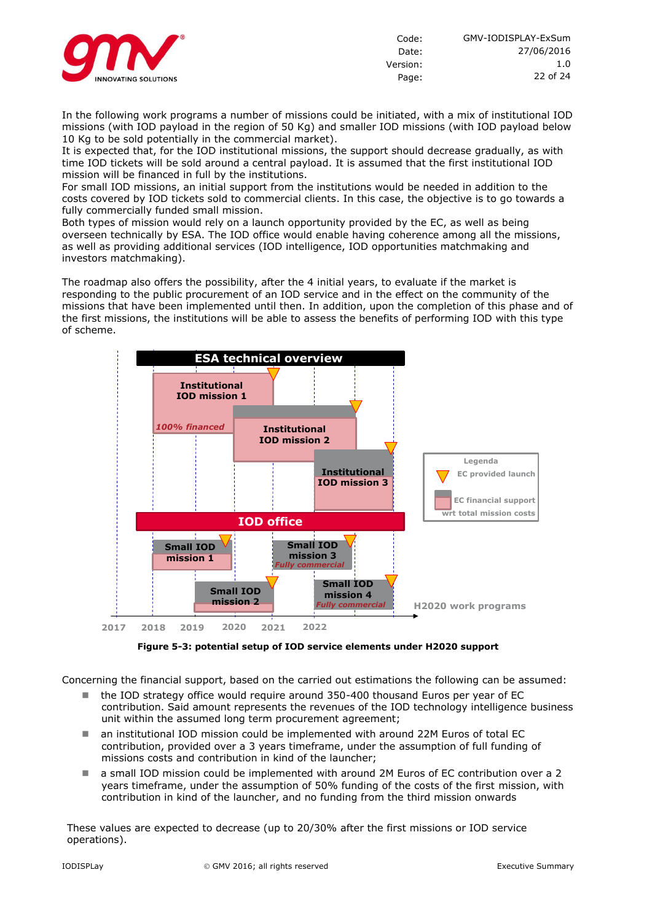

In the following work programs a number of missions could be initiated, with a mix of institutional IOD missions (with IOD payload in the region of 50 Kg) and smaller IOD missions (with IOD payload below 10 Kg to be sold potentially in the commercial market).

It is expected that, for the IOD institutional missions, the support should decrease gradually, as with time IOD tickets will be sold around a central payload. It is assumed that the first institutional IOD mission will be financed in full by the institutions.

For small IOD missions, an initial support from the institutions would be needed in addition to the costs covered by IOD tickets sold to commercial clients. In this case, the objective is to go towards a fully commercially funded small mission.

Both types of mission would rely on a launch opportunity provided by the EC, as well as being overseen technically by ESA. The IOD office would enable having coherence among all the missions, as well as providing additional services (IOD intelligence, IOD opportunities matchmaking and investors matchmaking).

The roadmap also offers the possibility, after the 4 initial years, to evaluate if the market is responding to the public procurement of an IOD service and in the effect on the community of the missions that have been implemented until then. In addition, upon the completion of this phase and of the first missions, the institutions will be able to assess the benefits of performing IOD with this type of scheme.



**Figure 5-3: potential setup of IOD service elements under H2020 support**

Concerning the financial support, based on the carried out estimations the following can be assumed:

- $\blacksquare$  the IOD strategy office would require around 350-400 thousand Euros per year of EC contribution. Said amount represents the revenues of the IOD technology intelligence business unit within the assumed long term procurement agreement;
- an institutional IOD mission could be implemented with around 22M Euros of total EC contribution, provided over a 3 years timeframe, under the assumption of full funding of missions costs and contribution in kind of the launcher;
- a small IOD mission could be implemented with around 2M Euros of EC contribution over a 2 years timeframe, under the assumption of 50% funding of the costs of the first mission, with contribution in kind of the launcher, and no funding from the third mission onwards

These values are expected to decrease (up to 20/30% after the first missions or IOD service operations).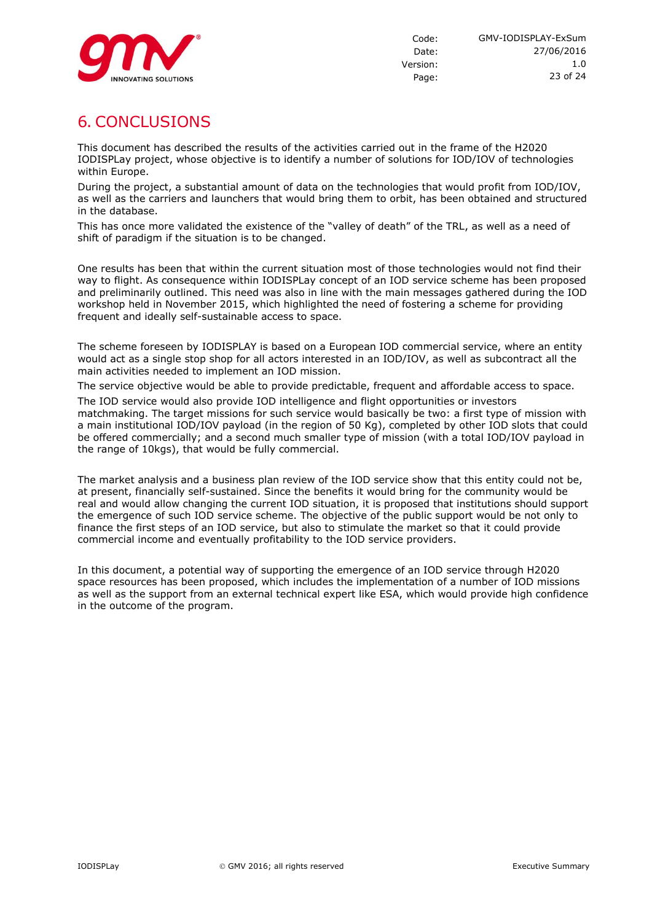

# **6. CONCLUSIONS**

This document has described the results of the activities carried out in the frame of the H2020 IODISPLay project, whose objective is to identify a number of solutions for IOD/IOV of technologies within Europe.

During the project, a substantial amount of data on the technologies that would profit from IOD/IOV, as well as the carriers and launchers that would bring them to orbit, has been obtained and structured in the database.

This has once more validated the existence of the "valley of death" of the TRL, as well as a need of shift of paradigm if the situation is to be changed.

One results has been that within the current situation most of those technologies would not find their way to flight. As consequence within IODISPLay concept of an IOD service scheme has been proposed and preliminarily outlined. This need was also in line with the main messages gathered during the IOD workshop held in November 2015, which highlighted the need of fostering a scheme for providing frequent and ideally self-sustainable access to space.

The scheme foreseen by IODISPLAY is based on a European IOD commercial service, where an entity would act as a single stop shop for all actors interested in an IOD/IOV, as well as subcontract all the main activities needed to implement an IOD mission.

The service objective would be able to provide predictable, frequent and affordable access to space.

The IOD service would also provide IOD intelligence and flight opportunities or investors matchmaking. The target missions for such service would basically be two: a first type of mission with a main institutional IOD/IOV payload (in the region of 50 Kg), completed by other IOD slots that could be offered commercially; and a second much smaller type of mission (with a total IOD/IOV payload in the range of 10kgs), that would be fully commercial.

The market analysis and a business plan review of the IOD service show that this entity could not be, at present, financially self-sustained. Since the benefits it would bring for the community would be real and would allow changing the current IOD situation, it is proposed that institutions should support the emergence of such IOD service scheme. The objective of the public support would be not only to finance the first steps of an IOD service, but also to stimulate the market so that it could provide commercial income and eventually profitability to the IOD service providers.

In this document, a potential way of supporting the emergence of an IOD service through H2020 space resources has been proposed, which includes the implementation of a number of IOD missions as well as the support from an external technical expert like ESA, which would provide high confidence in the outcome of the program.